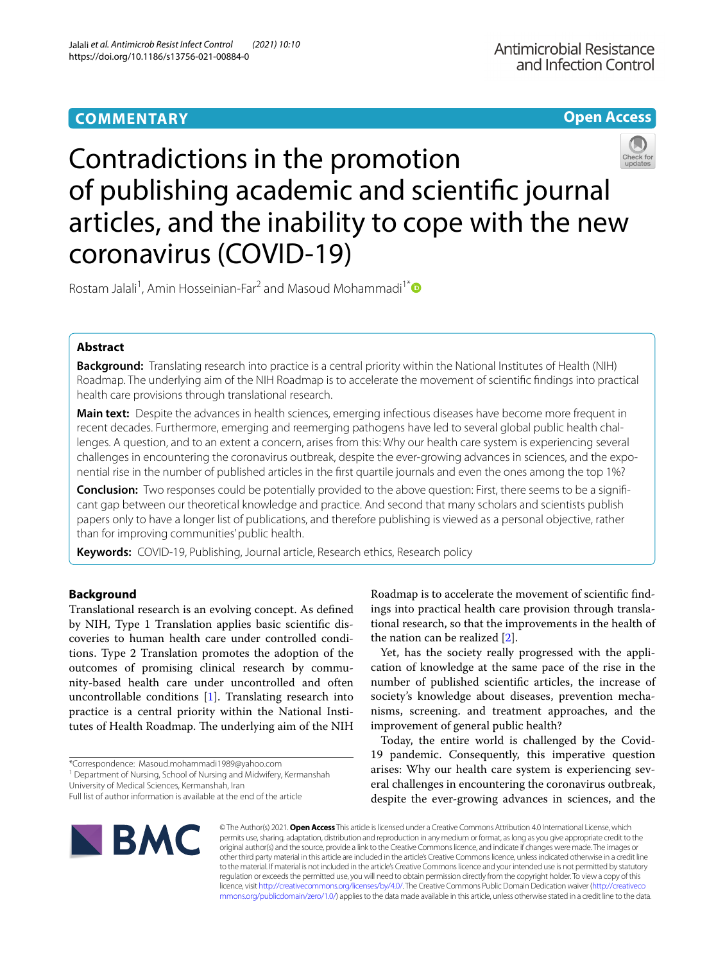# **Open Access**



Contradictions in the promotion of publishing academic and scientifc journal articles, and the inability to cope with the new coronavirus (COVID-19)

Rostam Jalali<sup>1</sup>, Amin Hosseinian-Far<sup>2</sup> and Masoud Mohammadi<sup>1[\\*](http://orcid.org/0000-0002-5722-8300)</sup>

# **Abstract**

**Background:** Translating research into practice is a central priority within the National Institutes of Health (NIH) Roadmap. The underlying aim of the NIH Roadmap is to accelerate the movement of scientifc fndings into practical health care provisions through translational research.

**Main text:** Despite the advances in health sciences, emerging infectious diseases have become more frequent in recent decades. Furthermore, emerging and reemerging pathogens have led to several global public health challenges. A question, and to an extent a concern, arises from this: Why our health care system is experiencing several challenges in encountering the coronavirus outbreak, despite the ever-growing advances in sciences, and the exponential rise in the number of published articles in the frst quartile journals and even the ones among the top 1%?

**Conclusion:** Two responses could be potentially provided to the above question: First, there seems to be a significant gap between our theoretical knowledge and practice. And second that many scholars and scientists publish papers only to have a longer list of publications, and therefore publishing is viewed as a personal objective, rather than for improving communities' public health.

**Keywords:** COVID-19, Publishing, Journal article, Research ethics, Research policy

# **Background**

Translational research is an evolving concept. As defned by NIH, Type 1 Translation applies basic scientifc discoveries to human health care under controlled conditions. Type 2 Translation promotes the adoption of the outcomes of promising clinical research by community-based health care under uncontrolled and often uncontrollable conditions [[1\]](#page-2-0). Translating research into practice is a central priority within the National Institutes of Health Roadmap. The underlying aim of the NIH

University of Medical Sciences, Kermanshah, Iran

Roadmap is to accelerate the movement of scientifc fndings into practical health care provision through translational research, so that the improvements in the health of the nation can be realized [\[2](#page-2-1)].

Yet, has the society really progressed with the application of knowledge at the same pace of the rise in the number of published scientifc articles, the increase of society's knowledge about diseases, prevention mechanisms, screening. and treatment approaches, and the improvement of general public health?

Today, the entire world is challenged by the Covid-19 pandemic. Consequently, this imperative question arises: Why our health care system is experiencing several challenges in encountering the coronavirus outbreak, despite the ever-growing advances in sciences, and the



© The Author(s) 2021. **Open Access** This article is licensed under a Creative Commons Attribution 4.0 International License, which permits use, sharing, adaptation, distribution and reproduction in any medium or format, as long as you give appropriate credit to the original author(s) and the source, provide a link to the Creative Commons licence, and indicate if changes were made. The images or other third party material in this article are included in the article's Creative Commons licence, unless indicated otherwise in a credit line to the material. If material is not included in the article's Creative Commons licence and your intended use is not permitted by statutory regulation or exceeds the permitted use, you will need to obtain permission directly from the copyright holder. To view a copy of this licence, visit [http://creativecommons.org/licenses/by/4.0/.](http://creativecommons.org/licenses/by/4.0/) The Creative Commons Public Domain Dedication waiver ([http://creativeco](http://creativecommons.org/publicdomain/zero/1.0/) [mmons.org/publicdomain/zero/1.0/](http://creativecommons.org/publicdomain/zero/1.0/)) applies to the data made available in this article, unless otherwise stated in a credit line to the data.

<sup>\*</sup>Correspondence: Masoud.mohammadi1989@yahoo.com

<sup>&</sup>lt;sup>1</sup> Department of Nursing, School of Nursing and Midwifery, Kermanshah

Full list of author information is available at the end of the article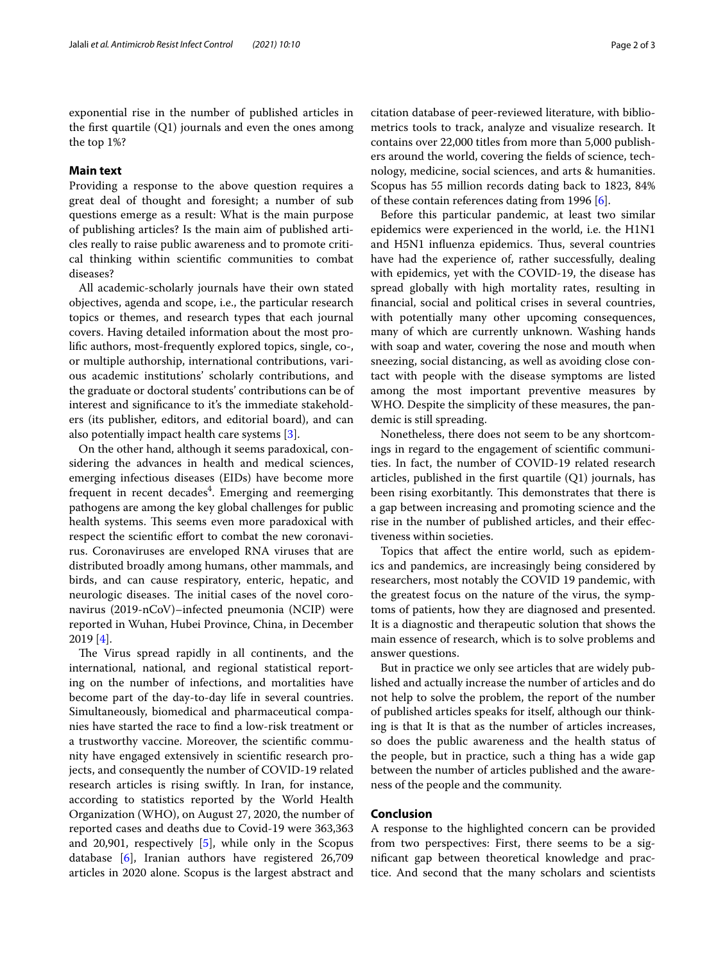exponential rise in the number of published articles in the first quartile  $(Q1)$  journals and even the ones among the top 1%?

# **Main text**

Providing a response to the above question requires a great deal of thought and foresight; a number of sub questions emerge as a result: What is the main purpose of publishing articles? Is the main aim of published articles really to raise public awareness and to promote critical thinking within scientifc communities to combat diseases?

All academic-scholarly journals have their own stated objectives, agenda and scope, i.e., the particular research topics or themes, and research types that each journal covers. Having detailed information about the most prolifc authors, most-frequently explored topics, single, co-, or multiple authorship, international contributions, various academic institutions' scholarly contributions, and the graduate or doctoral students' contributions can be of interest and signifcance to it's the immediate stakeholders (its publisher, editors, and editorial board), and can also potentially impact health care systems [\[3](#page-2-2)].

On the other hand, although it seems paradoxical, considering the advances in health and medical sciences, emerging infectious diseases (EIDs) have become more frequent in recent decades<sup>4</sup>. Emerging and reemerging pathogens are among the key global challenges for public health systems. This seems even more paradoxical with respect the scientific effort to combat the new coronavirus. Coronaviruses are enveloped RNA viruses that are distributed broadly among humans, other mammals, and birds, and can cause respiratory, enteric, hepatic, and neurologic diseases. The initial cases of the novel coronavirus (2019-nCoV)–infected pneumonia (NCIP) were reported in Wuhan, Hubei Province, China, in December 2019 [[4\]](#page-2-3).

The Virus spread rapidly in all continents, and the international, national, and regional statistical reporting on the number of infections, and mortalities have become part of the day-to-day life in several countries. Simultaneously, biomedical and pharmaceutical companies have started the race to fnd a low-risk treatment or a trustworthy vaccine. Moreover, the scientifc community have engaged extensively in scientifc research projects, and consequently the number of COVID-19 related research articles is rising swiftly. In Iran, for instance, according to statistics reported by the World Health Organization (WHO), on August 27, 2020, the number of reported cases and deaths due to Covid-19 were 363,363 and 20,901, respectively [[5\]](#page-2-4), while only in the Scopus database [[6\]](#page-2-5), Iranian authors have registered 26,709 articles in 2020 alone. Scopus is the largest abstract and citation database of peer-reviewed literature, with bibliometrics tools to track, analyze and visualize research. It contains over 22,000 titles from more than 5,000 publishers around the world, covering the felds of science, technology, medicine, social sciences, and arts & humanities. Scopus has 55 million records dating back to 1823, 84% of these contain references dating from 1996 [[6](#page-2-5)].

Before this particular pandemic, at least two similar epidemics were experienced in the world, i.e. the H1N1 and H5N1 influenza epidemics. Thus, several countries have had the experience of, rather successfully, dealing with epidemics, yet with the COVID-19, the disease has spread globally with high mortality rates, resulting in fnancial, social and political crises in several countries, with potentially many other upcoming consequences, many of which are currently unknown. Washing hands with soap and water, covering the nose and mouth when sneezing, social distancing, as well as avoiding close contact with people with the disease symptoms are listed among the most important preventive measures by WHO. Despite the simplicity of these measures, the pandemic is still spreading.

Nonetheless, there does not seem to be any shortcomings in regard to the engagement of scientifc communities. In fact, the number of COVID-19 related research articles, published in the frst quartile (Q1) journals, has been rising exorbitantly. This demonstrates that there is a gap between increasing and promoting science and the rise in the number of published articles, and their efectiveness within societies.

Topics that afect the entire world, such as epidemics and pandemics, are increasingly being considered by researchers, most notably the COVID 19 pandemic, with the greatest focus on the nature of the virus, the symptoms of patients, how they are diagnosed and presented. It is a diagnostic and therapeutic solution that shows the main essence of research, which is to solve problems and answer questions.

But in practice we only see articles that are widely published and actually increase the number of articles and do not help to solve the problem, the report of the number of published articles speaks for itself, although our thinking is that It is that as the number of articles increases, so does the public awareness and the health status of the people, but in practice, such a thing has a wide gap between the number of articles published and the awareness of the people and the community.

## **Conclusion**

A response to the highlighted concern can be provided from two perspectives: First, there seems to be a signifcant gap between theoretical knowledge and practice. And second that the many scholars and scientists